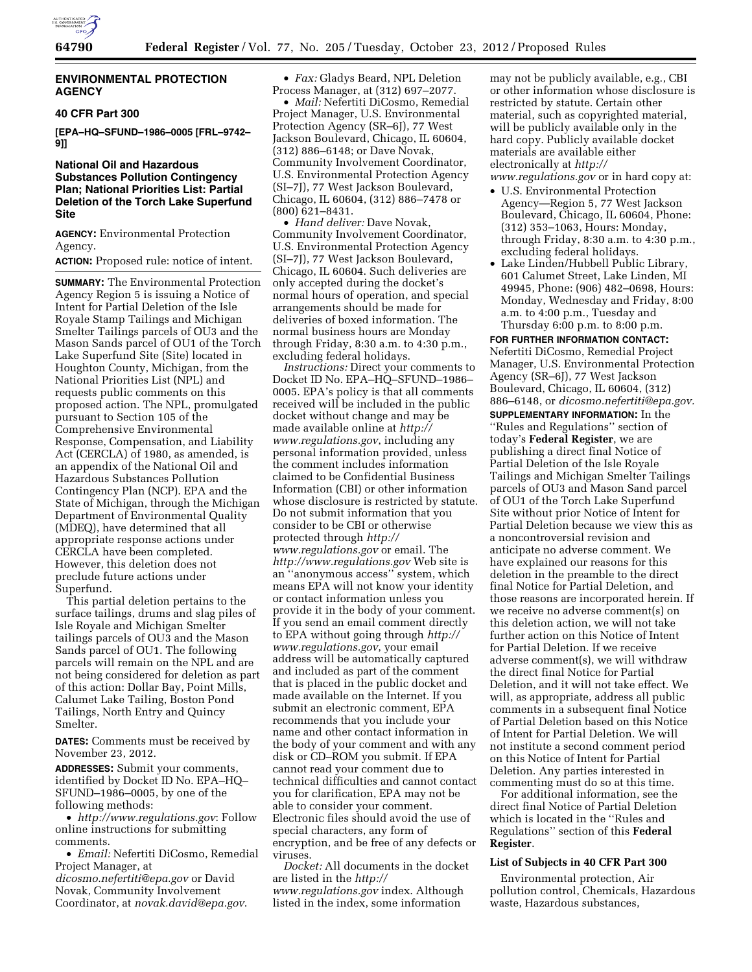

## **ENVIRONMENTAL PROTECTION AGENCY**

### **40 CFR Part 300**

**[EPA–HQ–SFUND–1986–0005 [FRL–9742– 9]]** 

## **National Oil and Hazardous Substances Pollution Contingency Plan; National Priorities List: Partial Deletion of the Torch Lake Superfund Site**

**AGENCY:** Environmental Protection Agency.

### **ACTION:** Proposed rule: notice of intent.

**SUMMARY:** The Environmental Protection Agency Region 5 is issuing a Notice of Intent for Partial Deletion of the Isle Royale Stamp Tailings and Michigan Smelter Tailings parcels of OU3 and the Mason Sands parcel of OU1 of the Torch Lake Superfund Site (Site) located in Houghton County, Michigan, from the National Priorities List (NPL) and requests public comments on this proposed action. The NPL, promulgated pursuant to Section 105 of the Comprehensive Environmental Response, Compensation, and Liability Act (CERCLA) of 1980, as amended, is an appendix of the National Oil and Hazardous Substances Pollution Contingency Plan (NCP). EPA and the State of Michigan, through the Michigan Department of Environmental Quality (MDEQ), have determined that all appropriate response actions under CERCLA have been completed. However, this deletion does not preclude future actions under Superfund.

This partial deletion pertains to the surface tailings, drums and slag piles of Isle Royale and Michigan Smelter tailings parcels of OU3 and the Mason Sands parcel of OU1. The following parcels will remain on the NPL and are not being considered for deletion as part of this action: Dollar Bay, Point Mills, Calumet Lake Tailing, Boston Pond Tailings, North Entry and Quincy Smelter.

**DATES:** Comments must be received by November 23, 2012.

**ADDRESSES:** Submit your comments, identified by Docket ID No. EPA–HQ– SFUND–1986–0005, by one of the following methods:

• *<http://www.regulations.gov>*: Follow online instructions for submitting comments.

• *Email:* Nefertiti DiCosmo, Remedial Project Manager, at

*[dicosmo.nefertiti@epa.gov](mailto:dicosmo.nefertiti@epa.gov)* or David Novak, Community Involvement Coordinator, at *[novak.david@epa.gov](mailto:novak.david@epa.gov)*.

• *Fax:* Gladys Beard, NPL Deletion Process Manager, at (312) 697–2077.

• *Mail:* Nefertiti DiCosmo, Remedial Project Manager, U.S. Environmental Protection Agency (SR–6J), 77 West Jackson Boulevard, Chicago, IL 60604, (312) 886–6148; or Dave Novak, Community Involvement Coordinator, U.S. Environmental Protection Agency (SI–7J), 77 West Jackson Boulevard, Chicago, IL 60604, (312) 886–7478 or (800) 621–8431.

• *Hand deliver:* Dave Novak, Community Involvement Coordinator, U.S. Environmental Protection Agency (SI–7J), 77 West Jackson Boulevard, Chicago, IL 60604. Such deliveries are only accepted during the docket's normal hours of operation, and special arrangements should be made for deliveries of boxed information. The normal business hours are Monday through Friday, 8:30 a.m. to 4:30 p.m., excluding federal holidays.

*Instructions:* Direct your comments to Docket ID No. EPA–HQ–SFUND–1986– 0005. EPA's policy is that all comments received will be included in the public docket without change and may be made available online at *[http://](http://www.regulations.gov)  [www.regulations.gov](http://www.regulations.gov)*, including any personal information provided, unless the comment includes information claimed to be Confidential Business Information (CBI) or other information whose disclosure is restricted by statute. Do not submit information that you consider to be CBI or otherwise protected through *[http://](http://www.regulations.gov)  [www.regulations.gov](http://www.regulations.gov)* or email. The *<http://www.regulations.gov>* Web site is an ''anonymous access'' system, which means EPA will not know your identity or contact information unless you provide it in the body of your comment. If you send an email comment directly to EPA without going through *[http://](http://www.regulations.gov) [www.regulations.gov](http://www.regulations.gov)*, your email address will be automatically captured and included as part of the comment that is placed in the public docket and made available on the Internet. If you submit an electronic comment, EPA recommends that you include your name and other contact information in the body of your comment and with any disk or CD–ROM you submit. If EPA cannot read your comment due to technical difficulties and cannot contact you for clarification, EPA may not be able to consider your comment. Electronic files should avoid the use of special characters, any form of encryption, and be free of any defects or viruses.

*Docket:* All documents in the docket are listed in the *[http://](http://www.regulations.gov) [www.regulations.gov](http://www.regulations.gov)* index. Although listed in the index, some information

may not be publicly available, e.g., CBI or other information whose disclosure is restricted by statute. Certain other material, such as copyrighted material, will be publicly available only in the hard copy. Publicly available docket materials are available either electronically at *[http://](http://www.regulations.gov)* 

*[www.regulations.gov](http://www.regulations.gov)* or in hard copy at:

- U.S. Environmental Protection Agency—Region 5, 77 West Jackson Boulevard, Chicago, IL 60604, Phone: (312) 353–1063, Hours: Monday, through Friday, 8:30 a.m. to 4:30 p.m., excluding federal holidays.
- Lake Linden/Hubbell Public Library, 601 Calumet Street, Lake Linden, MI 49945, Phone: (906) 482–0698, Hours: Monday, Wednesday and Friday, 8:00 a.m. to 4:00 p.m., Tuesday and Thursday 6:00 p.m. to 8:00 p.m.

**FOR FURTHER INFORMATION CONTACT:**  Nefertiti DiCosmo, Remedial Project Manager, U.S. Environmental Protection Agency (SR–6J), 77 West Jackson Boulevard, Chicago, IL 60604, (312) 886–6148, or *[dicosmo.nefertiti@epa.gov.](mailto:dicosmo.nefertiti@epa.gov)* 

**SUPPLEMENTARY INFORMATION:** In the ''Rules and Regulations'' section of today's **Federal Register**, we are publishing a direct final Notice of Partial Deletion of the Isle Royale Tailings and Michigan Smelter Tailings parcels of OU3 and Mason Sand parcel of OU1 of the Torch Lake Superfund Site without prior Notice of Intent for Partial Deletion because we view this as a noncontroversial revision and anticipate no adverse comment. We have explained our reasons for this deletion in the preamble to the direct final Notice for Partial Deletion, and those reasons are incorporated herein. If we receive no adverse comment(s) on this deletion action, we will not take further action on this Notice of Intent for Partial Deletion. If we receive adverse comment(s), we will withdraw the direct final Notice for Partial Deletion, and it will not take effect. We will, as appropriate, address all public comments in a subsequent final Notice of Partial Deletion based on this Notice of Intent for Partial Deletion. We will not institute a second comment period on this Notice of Intent for Partial Deletion. Any parties interested in commenting must do so at this time.

For additional information, see the direct final Notice of Partial Deletion which is located in the ''Rules and Regulations'' section of this **Federal Register**.

## **List of Subjects in 40 CFR Part 300**

Environmental protection, Air pollution control, Chemicals, Hazardous waste, Hazardous substances,